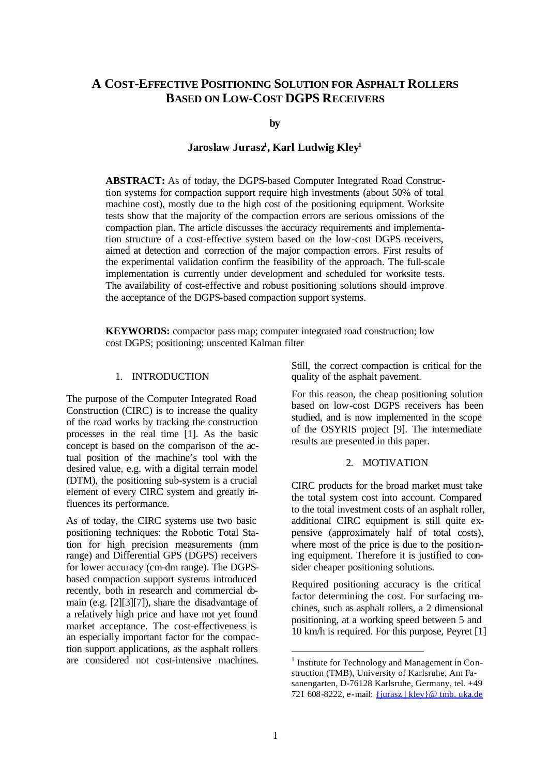# **A COST-EFFECTIVE POSITIONING SOLUTION FOR ASPHALT ROLLERS BASED ON LOW-COST DGPS RECEIVERS**

**by**

# **Jaroslaw Jurasz<sup>1</sup> , Karl Ludwig Kley<sup>1</sup>**

**ABSTRACT:** As of today, the DGPS-based Computer Integrated Road Construction systems for compaction support require high investments (about 50% of total machine cost), mostly due to the high cost of the positioning equipment. Worksite tests show that the majority of the compaction errors are serious omissions of the compaction plan. The article discusses the accuracy requirements and implementation structure of a cost-effective system based on the low-cost DGPS receivers, aimed at detection and correction of the major compaction errors. First results of the experimental validation confirm the feasibility of the approach. The full-scale implementation is currently under development and scheduled for worksite tests. The availability of cost-effective and robust positioning solutions should improve the acceptance of the DGPS-based compaction support systems.

**KEYWORDS:** compactor pass map; computer integrated road construction; low cost DGPS; positioning; unscented Kalman filter

## 1. INTRODUCTION

The purpose of the Computer Integrated Road Construction (CIRC) is to increase the quality of the road works by tracking the construction processes in the real time [1]. As the basic concept is based on the comparison of the actual position of the machine's tool with the desired value, e.g. with a digital terrain model (DTM), the positioning sub-system is a crucial element of every CIRC system and greatly influences its performance.

As of today, the CIRC systems use two basic positioning techniques: the Robotic Total Station for high precision measurements (mm range) and Differential GPS (DGPS) receivers for lower accuracy (cm-dm range). The DGPSbased compaction support systems introduced recently, both in research and commercial domain (e.g. [2][3][7]), share the disadvantage of a relatively high price and have not yet found market acceptance. The cost-effectiveness is an especially important factor for the compaction support applications, as the asphalt rollers are considered not cost-intensive machines.

Still, the correct compaction is critical for the quality of the asphalt pavement.

For this reason, the cheap positioning solution based on low-cost DGPS receivers has been studied, and is now implemented in the scope of the OSYRIS project [9]. The intermediate results are presented in this paper.

## 2. MOTIVATION

CIRC products for the broad market must take the total system cost into account. Compared to the total investment costs of an asphalt roller, additional CIRC equipment is still quite expensive (approximately half of total costs), where most of the price is due to the positioning equipment. Therefore it is justified to consider cheaper positioning solutions.

Required positioning accuracy is the critical factor determining the cost. For surfacing machines, such as asphalt rollers, a 2 dimensional positioning, at a working speed between 5 and 10 km/h is required. For this purpose, Peyret [1]

l

<sup>&</sup>lt;sup>1</sup> Institute for Technology and Management in Construction (TMB), University of Karlsruhe, Am Fasanengarten, D-76128 Karlsruhe, Germany, tel. +49 721 608-8222, e-mail: {jurasz | kley}@ tmb. uka.de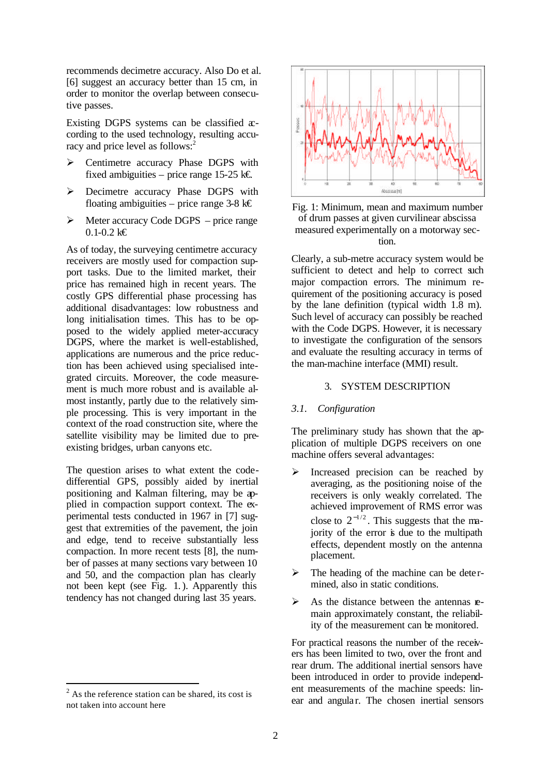recommends decimetre accuracy. Also Do et al. [6] suggest an accuracy better than 15 cm, in order to monitor the overlap between consecutive passes.

Existing DGPS systems can be classified  $x$ cording to the used technology, resulting accuracy and price level as follows:<sup>2</sup>

- ÿ Centimetre accuracy Phase DGPS with fixed ambiguities – price range 15-25 k€.
- ÿ Decimetre accuracy Phase DGPS with floating ambiguities – price range 3-8 k $\epsilon$
- $\triangleright$  Meter accuracy Code DGPS price range  $0.1 - 0.2$  k€

As of today, the surveying centimetre accuracy receivers are mostly used for compaction support tasks. Due to the limited market, their price has remained high in recent years. The costly GPS differential phase processing has additional disadvantages: low robustness and long initialisation times. This has to be opposed to the widely applied meter-accuracy DGPS, where the market is well-established, applications are numerous and the price reduction has been achieved using specialised integrated circuits. Moreover, the code measurement is much more robust and is available almost instantly, partly due to the relatively simple processing. This is very important in the context of the road construction site, where the satellite visibility may be limited due to preexisting bridges, urban canyons etc.

The question arises to what extent the codedifferential GPS, possibly aided by inertial positioning and Kalman filtering, may be applied in compaction support context. The experimental tests conducted in 1967 in [7] suggest that extremities of the pavement, the join and edge, tend to receive substantially less compaction. In more recent tests [8], the number of passes at many sections vary between 10 and 50, and the compaction plan has clearly not been kept (see Fig. 1.). Apparently this tendency has not changed during last 35 years.

l





Clearly, a sub-metre accuracy system would be sufficient to detect and help to correct such major compaction errors. The minimum requirement of the positioning accuracy is posed by the lane definition (typical width 1.8 m). Such level of accuracy can possibly be reached with the Code DGPS. However, it is necessary to investigate the configuration of the sensors and evaluate the resulting accuracy in terms of the man-machine interface (MMI) result.

#### 3. SYSTEM DESCRIPTION

## *3.1. Configuration*

The preliminary study has shown that the application of multiple DGPS receivers on one machine offers several advantages:

- $\triangleright$  Increased precision can be reached by averaging, as the positioning noise of the receivers is only weakly correlated. The achieved improvement of RMS error was close to  $2^{-1/2}$ . This suggests that the majority of the error is due to the multipath effects, dependent mostly on the antenna placement.
- The heading of the machine can be determined, also in static conditions.
- $\triangleright$  As the distance between the antennas remain approximately constant, the reliability of the measurement can be monitored.

For practical reasons the number of the receivers has been limited to two, over the front and rear drum. The additional inertial sensors have been introduced in order to provide independent measurements of the machine speeds: linear and angular. The chosen inertial sensors

 $2^2$  As the reference station can be shared, its cost is not taken into account here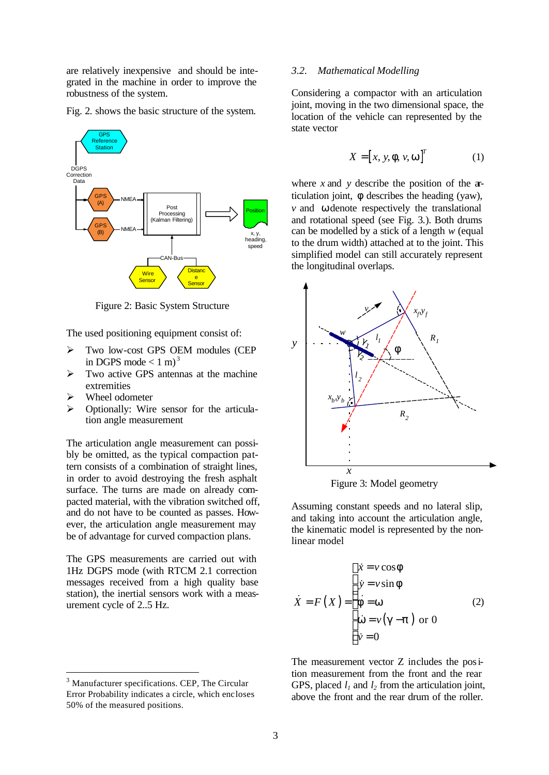are relatively inexpensive and should be integrated in the machine in order to improve the robustness of the system.

Fig. 2. shows the basic structure of the system.



Figure 2: Basic System Structure

The used positioning equipment consist of:

- > Two low-cost GPS OEM modules (CEP in DGPS mode  $< 1 \text{ m}$ <sup>3</sup>
- $\triangleright$  Two active GPS antennas at the machine extremities
- $\triangleright$  Wheel odometer

l

 $\triangleright$  Optionally: Wire sensor for the articulation angle measurement

The articulation angle measurement can possibly be omitted, as the typical compaction pattern consists of a combination of straight lines, in order to avoid destroying the fresh asphalt surface. The turns are made on already compacted material, with the vibration switched off, and do not have to be counted as passes. However, the articulation angle measurement may be of advantage for curved compaction plans.

The GPS measurements are carried out with 1Hz DGPS mode (with RTCM 2.1 correction messages received from a high quality base station), the inertial sensors work with a measurement cycle of 2..5 Hz.

### *3.2. Mathematical Modelling*

Considering a compactor with an articulation joint, moving in the two dimensional space, the location of the vehicle can represented by the state vector

$$
X = [x, y, \mathbf{f}, v, \mathbf{w}]^{T}
$$
 (1)

where *x* and *y* describe the position of the articulation joint, *f* describes the heading (yaw), *v* and *w* denote respectively the translational and rotational speed (see Fig. 3.). Both drums can be modelled by a stick of a length *w* (equal to the drum width) attached at to the joint. This simplified model can still accurately represent the longitudinal overlaps.



Figure 3: Model geometry

Assuming constant speeds and no lateral slip, and taking into account the articulation angle, the kinematic model is represented by the nonlinear model

$$
\dot{X} = F(X) = \begin{cases} \dot{x} = v \cos f \\ \dot{y} = v \sin f \\ \dot{f} = w \\ \dot{w} = v(g - p) \text{ or } 0 \\ \dot{v} = 0 \end{cases}
$$
 (2)

The measurement vector Z includes the position measurement from the front and the rear GPS, placed *l1* and *l2* from the articulation joint, above the front and the rear drum of the roller.

<sup>&</sup>lt;sup>3</sup> Manufacturer specifications. CEP, The Circular Error Probability indicates a circle, which encloses 50% of the measured positions.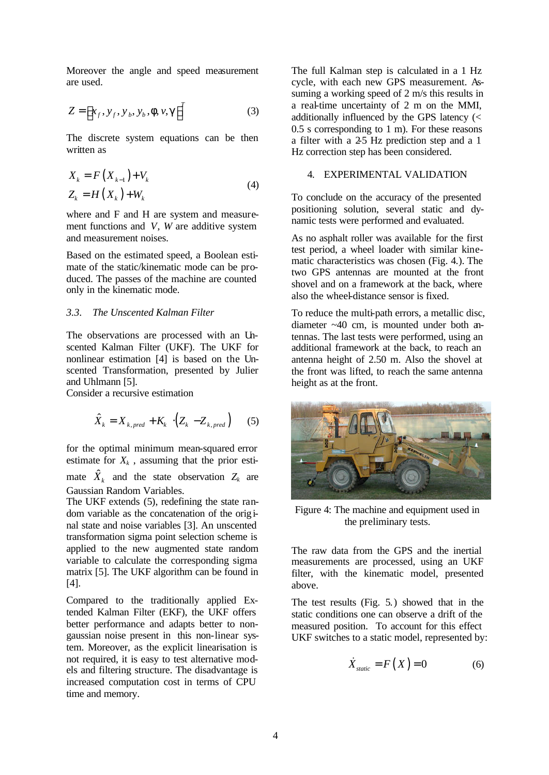Moreover the angle and speed measurement are used.

$$
Z = \left[ x_f, y_f, y_b, y_b, f, v, g \right]^T \tag{3}
$$

The discrete system equations can be then written as

$$
X_{k} = F(X_{k-1}) + V_{k}
$$
  
\n
$$
Z_{k} = H(X_{k}) + W_{k}
$$
\n(4)

where and F and H are system and measurement functions and *V*, *W* are additive system and measurement noises.

Based on the estimated speed, a Boolean estimate of the static/kinematic mode can be produced. The passes of the machine are counted only in the kinematic mode.

#### *3.3. The Unscented Kalman Filter*

The observations are processed with an Unscented Kalman Filter (UKF). The UKF for nonlinear estimation [4] is based on the Unscented Transformation, presented by Julier and Uhlmann [5].

Consider a recursive estimation

$$
\hat{X}_k = X_{k, pred} + K_k \cdot (Z_k - Z_{k, pred}) \qquad (5)
$$

for the optimal minimum mean-squared error estimate for  $X_k$ , assuming that the prior estimate  $\hat{X}_k$  and the state observation  $Z_k$  are Gaussian Random Variables.

The UKF extends (5), redefining the state random variable as the concatenation of the original state and noise variables [3]. An unscented transformation sigma point selection scheme is applied to the new augmented state random variable to calculate the corresponding sigma matrix [5]. The UKF algorithm can be found in [4].

Compared to the traditionally applied Extended Kalman Filter (EKF), the UKF offers better performance and adapts better to nongaussian noise present in this non-linear system. Moreover, as the explicit linearisation is not required, it is easy to test alternative models and filtering structure. The disadvantage is increased computation cost in terms of CPU time and memory.

The full Kalman step is calculated in a 1 Hz cycle, with each new GPS measurement. Assuming a working speed of 2 m/s this results in a real-time uncertainty of 2 m on the MMI, additionally influenced by the GPS latency (< 0.5 s corresponding to 1 m). For these reasons a filter with a 2-5 Hz prediction step and a 1 Hz correction step has been considered.

## 4. EXPERIMENTAL VALIDATION

To conclude on the accuracy of the presented positioning solution, several static and dynamic tests were performed and evaluated.

As no asphalt roller was available for the first test period, a wheel loader with similar kinematic characteristics was chosen (Fig. 4.). The two GPS antennas are mounted at the front shovel and on a framework at the back, where also the wheel-distance sensor is fixed.

To reduce the multi-path errors, a metallic disc, diameter ~40 cm, is mounted under both antennas. The last tests were performed, using an additional framework at the back, to reach an antenna height of 2.50 m. Also the shovel at the front was lifted, to reach the same antenna height as at the front.



Figure 4: The machine and equipment used in the preliminary tests.

The raw data from the GPS and the inertial measurements are processed, using an UKF filter, with the kinematic model, presented above.

The test results (Fig. 5.) showed that in the static conditions one can observe a drift of the measured position. To account for this effect UKF switches to a static model, represented by:

$$
\dot{X}_{static} = F(X) = 0 \tag{6}
$$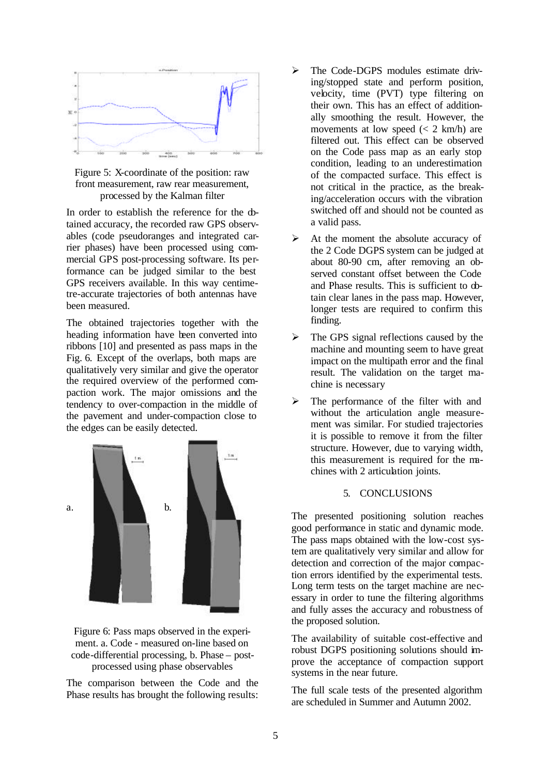

Figure 5: X-coordinate of the position: raw front measurement, raw rear measurement, processed by the Kalman filter

In order to establish the reference for the  $\Phi$ tained accuracy, the recorded raw GPS observables (code pseudoranges and integrated carrier phases) have been processed using commercial GPS post-processing software. Its performance can be judged similar to the best GPS receivers available. In this way centimetre-accurate trajectories of both antennas have been measured.

The obtained trajectories together with the heading information have been converted into ribbons [10] and presented as pass maps in the Fig. 6. Except of the overlaps, both maps are qualitatively very similar and give the operator the required overview of the performed compaction work. The major omissions and the tendency to over-compaction in the middle of the pavement and under-compaction close to the edges can be easily detected.



Figure 6: Pass maps observed in the experiment. a. Code - measured on-line based on code-differential processing, b. Phase – postprocessed using phase observables

The comparison between the Code and the Phase results has brought the following results:

- $\triangleright$  The Code-DGPS modules estimate driving/stopped state and perform position, velocity, time (PVT) type filtering on their own. This has an effect of additionally smoothing the result. However, the movements at low speed  $\left(\frac{2 \text{ km/h}}{n}\right)$  are filtered out. This effect can be observed on the Code pass map as an early stop condition, leading to an underestimation of the compacted surface. This effect is not critical in the practice, as the breaking/acceleration occurs with the vibration switched off and should not be counted as a valid pass.
- $\triangleright$  At the moment the absolute accuracy of the 2 Code DGPS system can be judged at about 80-90 cm, after removing an observed constant offset between the Code and Phase results. This is sufficient to obtain clear lanes in the pass map. However, longer tests are required to confirm this finding.
- $\triangleright$  The GPS signal reflections caused by the machine and mounting seem to have great impact on the multipath error and the final result. The validation on the target machine is necessary
- The performance of the filter with and without the articulation angle measurement was similar. For studied trajectories it is possible to remove it from the filter structure. However, due to varying width, this measurement is required for the machines with 2 articulation joints.

## 5. CONCLUSIONS

The presented positioning solution reaches good performance in static and dynamic mode. The pass maps obtained with the low-cost system are qualitatively very similar and allow for detection and correction of the major compaction errors identified by the experimental tests. Long term tests on the target machine are necessary in order to tune the filtering algorithms and fully asses the accuracy and robustness of the proposed solution.

The availability of suitable cost-effective and robust DGPS positioning solutions should improve the acceptance of compaction support systems in the near future.

The full scale tests of the presented algorithm are scheduled in Summer and Autumn 2002.